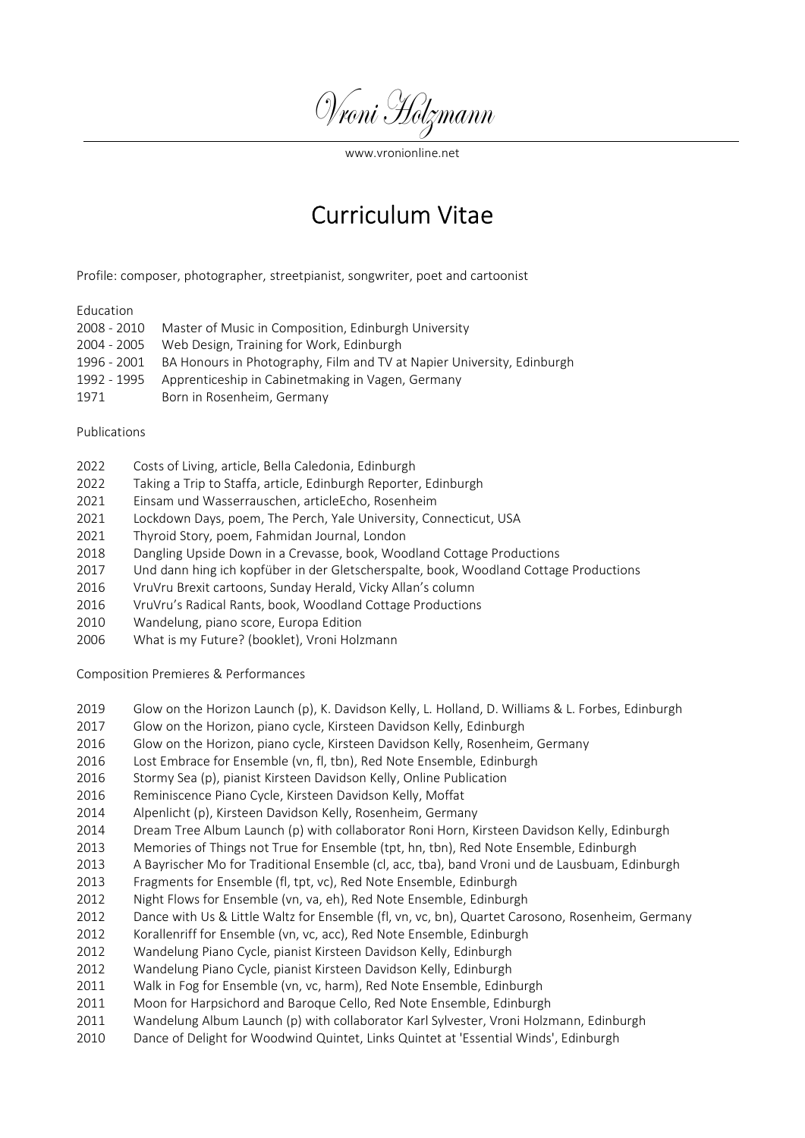Vroni Holzmann<br>www.vronionline.net<br>Curriculum Vitae Vroni Holzmann<br>
www.vronionline.net<br>
Curriculum Vitae<br>
sianist, songwriter, poet and cartoonist

# Education

| (Vvoni Holzmann                                                                      |                                                                                                                                                                                                                                                                                                                                                                                                                                                                                                                                                                                                                                                                                              |
|--------------------------------------------------------------------------------------|----------------------------------------------------------------------------------------------------------------------------------------------------------------------------------------------------------------------------------------------------------------------------------------------------------------------------------------------------------------------------------------------------------------------------------------------------------------------------------------------------------------------------------------------------------------------------------------------------------------------------------------------------------------------------------------------|
|                                                                                      | www.yronionline.net<br><b>Curriculum Vitae</b>                                                                                                                                                                                                                                                                                                                                                                                                                                                                                                                                                                                                                                               |
|                                                                                      | Profile: composer, photographer, streetpianist, songwriter, poet and cartoonist                                                                                                                                                                                                                                                                                                                                                                                                                                                                                                                                                                                                              |
| Education<br>2008 - 2010<br>2004 - 2005<br>1996 - 2001<br>1992 - 1995<br>1971        | Master of Music in Composition, Edinburgh University<br>Web Design, Training for Work, Edinburgh<br>BA Honours in Photography, Film and TV at Napier University, Edinburgh<br>Apprenticeship in Cabinetmaking in Vagen, Germany<br>Born in Rosenheim, Germany                                                                                                                                                                                                                                                                                                                                                                                                                                |
| Publications                                                                         |                                                                                                                                                                                                                                                                                                                                                                                                                                                                                                                                                                                                                                                                                              |
| 2022<br>2022<br>2021<br>2021<br>2021<br>2018<br>2017<br>2016<br>2016<br>2010<br>2006 | Costs of Living, article, Bella Caledonia, Edinburgh<br>Taking a Trip to Staffa, article, Edinburgh Reporter, Edinburgh<br>Einsam und Wasserrauschen, articleEcho, Rosenheim<br>Lockdown Days, poem, The Perch, Yale University, Connecticut, USA<br>Thyroid Story, poem, Fahmidan Journal, London<br>Dangling Upside Down in a Crevasse, book, Woodland Cottage Productions<br>Und dann hing ich kopfüber in der Gletscherspalte, book, Woodland Cottage Productions<br>VruVru Brexit cartoons, Sunday Herald, Vicky Allan's column<br>VruVru's Radical Rants, book, Woodland Cottage Productions<br>Wandelung, piano score, Europa Edition<br>What is my Future? (booklet), Vroni Holzmann |
|                                                                                      | Composition Premieres & Performances                                                                                                                                                                                                                                                                                                                                                                                                                                                                                                                                                                                                                                                         |
| 2019<br>2017<br>2016<br>2016<br>2016<br>2016<br>2014                                 | Glow on the Horizon Launch (p), K. Davidson Kelly, L. Holland, D. Williams & L. Forbes, Edinburgh<br>Glow on the Horizon, piano cycle, Kirsteen Davidson Kelly, Edinburgh<br>Glow on the Horizon, piano cycle, Kirsteen Davidson Kelly, Rosenheim, Germany<br>Lost Embrace for Ensemble (vn, fl, tbn), Red Note Ensemble, Edinburgh<br>Stormy Sea (p), pianist Kirsteen Davidson Kelly, Online Publication<br>Reminiscence Piano Cycle, Kirsteen Davidson Kelly, Moffat<br>Alpenlicht (p), Kirsteen Davidson Kelly, Rosenheim, Germany                                                                                                                                                       |
|                                                                                      |                                                                                                                                                                                                                                                                                                                                                                                                                                                                                                                                                                                                                                                                                              |

# Publications

- 
- 
- 
- 
- 
- 
- 
- 
- 
- 
- 

- Publications<br>
2022 Costs of Living, article, Bella Caledonia, Edinburgh<br>
2022 Taking a Trip to Staffa, article, Edinburgh Reporter, Edinburgh<br>
2022 Iochown Days, poem, The Perch, Yale University, Cromecticut, USA<br>
2021 Loc Publications<br>
2022 Costs of Living, article, Bella Caledonia, Edinburgh<br>
2022 Taking a Trip to Staffa, article, Edinburgh Reporter, Edinburgh<br>
2021 Einsam und Wasserrauschen, articleEcho, Rosenheim<br>
2021 Inyrols Stary, poe 2022 Costs of Living, article, Bella Caledonia, Edinburgh<br>
2022 Taking a Trip to Staffa, article, Edinburgh Reporter, Edinburgh<br>
2021 Einsmun und Wasserrauschen, article Echo, Noel University, Connecticut, USA<br>
2021 Incide 2022 Costs of Living, article, Bella Caledonia, Edinburgh<br>
2022 Taking a Trip to Staffa, article, Edinburgh Reporter, Edinburgh<br>
2021 Enkam und Wasserrauschen, articleEcho, Rosenheim<br>
2021 Dockdown Davy, poem, Fiamildan Jo 2022 Taking a Trip to Staffa, article, Edinburgh Reporter, Edinburgh<br>
2021 Lincorn und Wasserrusschen, articleichto, Kosenheim, Comecticut, USA<br>
2021 Invrold Story, poem, Fahmidan Journal, London<br>
2012 Diarpeling Upside Do
- 
- 
- 
- 
- 
- 
- 
- 
- 
- 
- 
- 2014 Einsam und Wasserrauschen, articleEcho, Rosenheim<br>2021 Lockdown Days, poem, The Perch, Yaie University, Connecticut, USA<br>2021 Thyroid Story, poem, Fahmldan Journal, London<br>2017 Und darn hing ich kopfüber in der Gietsc 2021 Lockdown Days, poem, The Perch, Yale University, Connecticut, USA<br>2021 Inyroid Stoy, poem, Fainmidan Jounnal, London<br>2018 Dangling Upside Down in a Grevasse, book, Woodland Cottage Productions<br>2016 VroViu Breich teamp 2013 Thyroid Story, poem, Fahmidan Journal, London<br>2013 Dangling Upaside Down in a Crevasse, book, Woodland Cottage Productions<br>2017 Und dann hing ich kopfüler in der Gletscherspalte, book, Woodland Cottage Productions<br>201 2018 Fragment (flow the Comparison Content (flow the Collectiversylet), bund down thing it has the productions 2017 Und on the inplicible in the Gielscherspale, book, Wooddand Cottage Productions<br>2016 Fru/Wris Realical Ran 2017 Und dann hing ich kopfüber in der Gietscherspalte, book, Woodland Cottage Productions<br>2016 VruVru Srealit cartoons, Sunday Herald, Vicky Allari's column<br>2016 VruVru's Radical Rants, book, Woodland Cottage Productions<br> 2016 VruVru Brexit cartoons, Sunday Herald, Vicky Allan's column<br>2010 VruVru's Radical Rants, book, Woodland Cottage Productions<br>2010 Wandelung, plano score, Europa Edition<br>2012 Glow on the Horizon Launch (p), K. Davidson 2018 VruVru's Radical Rants, book, Woodland Cottage Productions<br>2010 Whatelumg, piaro score, Europa Edition<br>2006 What is my Future? (booklet), Vroni Holzmann<br>Composition Premieres & Performances<br>2019 Glow on the Horizon La 2010 Wandelung, piano score, Europa Edition<br>2006 What is my Future? (booklet), Vroni Holzmann<br>
Composition Premieres & Performances<br>
2019 Glow on the Horizon Launch (p), K. Davidson Kelly, L. Holland, D. Williams & L. Forb 2006 What is my Future? (booklet), Vroni Holzmann<br>
2019 Glow on the Horizon Launch (p), K. Davidson Kelly, L. Holland, D. Williams & L. Forbes, Edinburgh<br>
2012 Glow on the Horizon, piano cycle, Kirsteen Davidson Kelly, Rei Composition Premieres & Performances<br>
2019 Giow on the Horizon Launch (p), K. Davidson Kelly, L. Holland, D. Williams & L. Forbes, Edinburgh<br>
2017 Giow on the Horizon, piano cycle, Kirsteen Davidson Kelly, Edinburgh<br>
2016 Composition Premieres & Performances<br>
2019 Glow on the Horizon Launch (p), K. Davidson Kelly, L. Holland, D. Williams & L. Forbes, Edinburgh<br>
2016 Glow on the Horizon, piano cycle, Kirsteen Davidson Kelly, Rosenheim, Germa 2019 Glow on the Horizon Launch (p), K. Davidson Kelly, L. Holland, D. Williams & L. Forbes, Edinburgh<br>2017 Glow on the Horizon, plano cycle, Kirsteen Davidson Kelly, Edinburgh<br>2016 Glow on the Horizon, plano cycle, Kirste 2019 Glow on the Horizon Launch (p), K. Davidson Kelly, L. Holland, D. Williams & L. Forbes, Edinburgh<br>2016 Glow on the Horizon, plano cycle, Kirsteen Davidson Kelly, Rosenheim, Germany<br>2016 Glow on the Horizon, plano cycl
- 
- 
- 
- 
- 
- 
-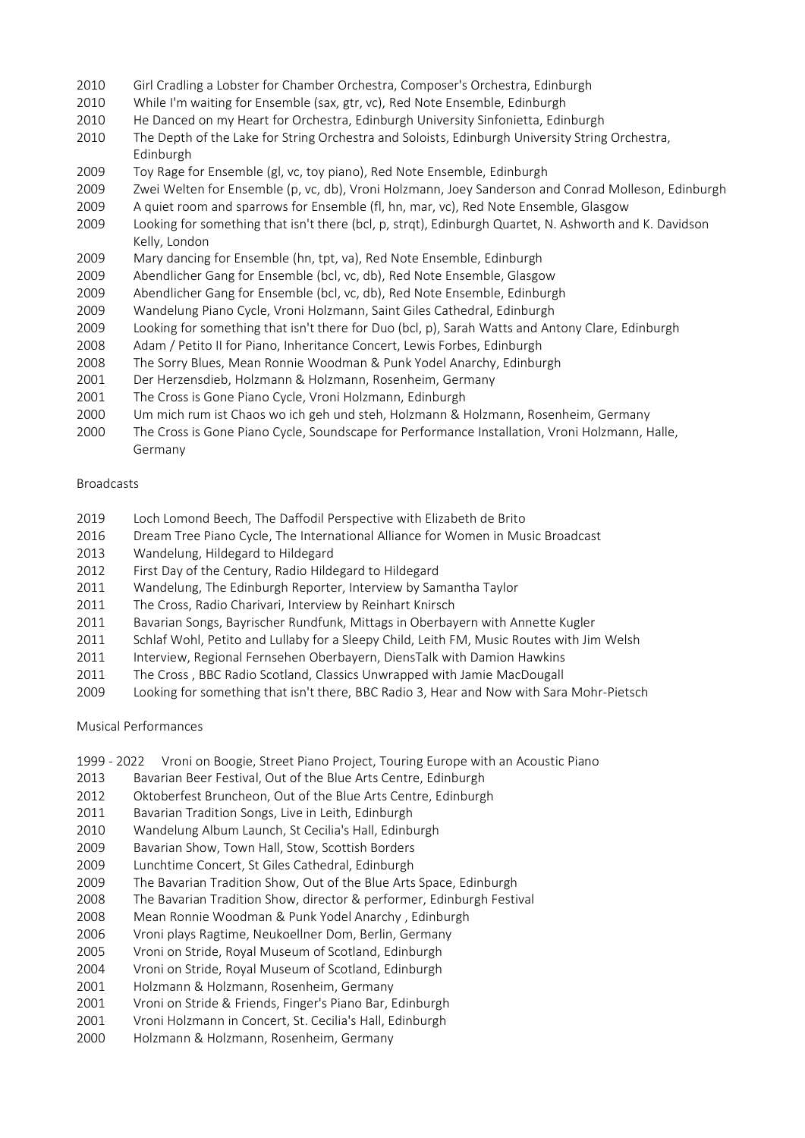- 
- 
- 
- 2010 Girl Cradling a Lobster for Chamber Orchestra, Composer's Orchestra, Edinburgh<br>
2010 While I'm waiting for Ensemble (sax, gtr, vc), Red Note Ensemble, Edinburgh<br>
2010 He Danced on my Heart for Orchestra, Edinburgh Uni 2010 Girl Cradling a Lobster for Chamber Orchestra, Composer's Orchestra, Edinburgh<br>
2010 While I'm waiting for Ensemble (sax, gtr, vc), Red Note Ensemble, Edinburgh<br>
2010 He Danced on my Heart for Orchestra, Edinburgh Uni 2010 Girl Cradling a Lobster for Chamber Orchestra, Composer's Orchestra, Edinburgh<br>
2010 While I'm waiting for Ensemble (sax, gtr, vc), Red Note Ensemble, Edinburgh<br>
2010 He Danced on my Heart for Orchestra, Edinburgh Uni Girl Cradling a Lobster for Chamber Orchestra, Composer's Orchestra, Edinburgh<br>
2010 While I'm waiting for Ensemble (sax, gtr, vc), Red Note Ensemble, Edinburgh<br>
2010 The Danced on my Heart for Orchestra, Edinburgh Univers Edinburgh Girl Cradling a Lobster for Chamber Orchestra, Composer's Orchestra, Edinburgh<br>
While I'm waiting for Ensemble (sax, gtr, vc), Red Note Ensemble, Edinburgh<br>
He Danced on my Heart for Orchestra, Edinburgh University Sinfoni
- 
- 
- 
- Girl Cradling a Lobster for Chamber Orchestra, Composer's Orchestra, Edinburgh<br>
2010 While I'm waiting for Ensemble (sax, gtr, vc), Red Note Ensemble, Edinburgh<br>
2010 He Danced on my Heart for Orchestra, Edinburgh Universi Girl Cradling a Lobster for Chamber Orchestra, Composer's Orchestra, Edinburgh<br>
2010 While I'm waiting for Ensemble (sax, gtr, vc), Red Note Ensemble, Edinburgh<br>
2010 He Danced om ny Herar for Orchestra, Edinburgh Universi 2010 Girl Cradling a Lobster for Chamber Orchestra, Composer's Orchestra, Edinburgh<br>
2010 While I'm waiting for Ensemble (sax, gtr, vc), Red Note Ensemble, Edinburgh<br>
2010 He Danced on my Heart for Orchestra, Edinburgh Uni 2010 Girl Cradling a Lobster for Chamber Orchestra, Composer's Orchestra, Edinburgh<br>2010 While I'm waiting for Ensemble (sax, gtr, vc), Red Note Ensemble, Edinburgh<br>2010 He Danced on my Heart for Orchestra, Edinburgh Unive 2010 Girl Cradling a Lobster for Chamber Orchestra, Composer's Orchestra, Edinburgh<br>
2010 While I'm waiting for Ensemble (sax, gtr, vc), Red Note Ensemble, Edinburgh<br>
2010 He Denced on my Heart for Orchestra, Edinburgh Uni 2010 Girl Cradling a Lobster for Chamber Orchestra, Composer's Orchestra, Edinburgh<br>
2010 While I'm waiting for Ensemble (sax, gtr, vc), Red Note Ensemble, Edinburgh<br>
2010 He Danced on my Heart for Orchestra, Edinburgh Uni 2010 Girl Cradling a Lobster for Chamber Orchestra, Composer's Orchestra, Edinburgh<br>
2010 While I'm waiting for Ensemble (sax, gtr, vc), Red Note Ensemble, Edinburgh<br>
2010 He Danced on my Heart for Orchestra, Edinburgh Uni 2010 Girl Cradling a Lobster for Chamber Orchestra, Composer's Orchestra, Edinburgh<br>
2010 While I'm waiting for Ensemble (sax, gtr, vc), Red Note Ensemble, Edinburgh<br>
2010 The Danced on my letar for Crichestra, Edinburgh U 2010 Girl Cradling a Lobster for Chamber Orchestra, Composer's Orchestra, Edinburgh<br>
2010 While I'm waiting for Frasemble (ax, gtr, vc), Red Note Ensemble, Edinburgh<br>
2010 The Dented on my Heart for Orchestra, Edinburgh Un 2010 Girl Cradling a Lobster for Chamber Orchestra, Composer's Orchestra, Edinburgh<br>
2010 While I'm walting for Ensemble (sax, get, vc), Red Note Ensemble, Edinburgh<br>
2010 He Danced on my Heart for Orchestra, Edinburgh Uni 2010 Girl Cradling a Lobster for Chamber Orchestra, Composer's Orchestra, Edinburgh<br>
2010 While I'm waiting for Ensemble (sax, gtr, vv.), Red Note Ensemble, Edinburgh<br>
2010 He Danced on my Heart for Orchestra, Edinburgh Un 2010 Girl Cradling a Lobster for Chamber Orchestra, Composer's Orchestra, Edinburgh<br>
2010 While I'm waiting for Ensemble (sax, gt, yt, beta Note Ensemble, Edinburgh<br>
2010 He Danced on my Heart for Orchestra, Edinburgh Univ 2010 Girl Cradling a Lobster for Chamber Orchestra, Composer's Orchestra, Edinburgh<br>
2010 While I'm waiting for Ensemble (sax, gtr, vc), Red Note Ensemble, Edinburgh<br>
11e Danced on my Heart Ior Orchestra, Edinburgh Univers 2010 Girl Cradling a Lobster for Chamber Orchestra, Composer's Orchestra, Edinburgh<br>
2010 While I'm wailing for Ensemble (sav, gtv, yr.), Red Note Ensemble, Edinburgh<br>
2010 He Danced on my Heart for Orchestra, Edinburgh Un 2010 While I'm waiting for Ensemble (sax, gtr, vc), fied Note Ensemble, Edinburgh<br>
2010 The Denced on my Heart for Orchestra, Edinburgh University Simfonielta, Edinburgh<br>
2010 The Depth of the Lake for String Orchestra and 2009 Zwei Welten for Ensemble (p, vc, db), Vroni Holzmann, Joey Sanderson and Conrad Molleson, Edinburgh<br>
2019 A quiet room and sparrows for Ensemble (fl, h, m, m, m, vc), Ned Note Ensemble, Gisagow<br>
2019 Locking for somet 2009 A quiet room and sparrows for Ensemble (fl, hn, mar, vic), fied Note Ensemble, Glasgow<br>
2009 Looking for something that isn't there (bcl, p, strqt), Edinburgh Quartet, N. Ashworth and K. Davidson<br>
2019 Mary dancing fo 2009 Looking for something that isn't there (bcl, p, strqt), Edinburgh Quartet, N. Ashworth and K. Davidson<br>
Kelly, London<br>
Mary dancing for Ensemble (hn, tpt, va), Red Note Ensemble, Edinburgh<br>
2009 Abendlicher Gang for E
- 
- 
- 
- 
- 
- 
- 
- 
- 
- 
- Germany Kelly, London<br>
2009 - Mary dancing for Ensemble (hn, tpt, va), Red Note Ensemble, Edinburgh<br>
2020 - Abendlicher Gang for Ensemble (bcl, vc, db), Red Note Ensemble, Glasgow<br>
2009 - Abendlicher Gang for Ensemble (bcl, vc, db 2009 Mary dancing for Ensemble (hn, tpt, va), Red Note Ensemble, Edinburgh<br>
2009 Abendlicher Gang for Ensemble (bd, vc, db), Red Note Ensemble, Ediagow<br>
2009 Abendlicher Gang for Ensemble (bd, vc, db), Red Note Ensemble, E 2009 Abendlicher Gang for Ensemble (bcl, vc, db), Red Note Ensemble, Glasgow<br>
2009 Wondeldung Piano Cycle, Vroni Holdmann, Saint Glies Cathedral, Edinburgh<br>
2009 Wondeldung Piano Cycle, Vroni Holdmann, Saint Glies Cathedra 2009 Abendlicher Gang for Ensemble (bcl, vc, db), Red Note Ensemble, Edinburgh<br>2009 Uvandelung Piano Cycle, Vroni Holzmann, saint Giles Cathedral, Edinburgh<br>2011 Baokhaly for something that is the there for Duo (bcl, p). S 2009 Wandelung Plano Cycle, Vroni Holzmann, Saint Giles Cathedral, Edinburgh<br>2009 Looking for something that isn't there for Duo (6tc) p.) Sarah Watts and Antony Clare, Edinburgh<br>2008 Adam / Petito II for Plano, Inheritanc 2009 Looking for something that isn't there for Duo (bcl, p), Sarah Watts and Antony Clare, Edinburgh<br>2008 The Sorry Blues, Decision Interview coodman & Punk Yodel Anarchy, Edinburgh<br>2011 Der Herzenstiels, Holdmann & Holdm 2008 Madm / Petrito II for Piano, Inheritance Concert, Lewis Forbes, Edinburgh<br>2008 The Sorry Blues, Mean Romnie Woodrman & Punk Yodel Anarchy, Edinburgh<br>2001 Der Herzensdieb, Holzmann & Holzmann, Rosenheim, Germany<br>2000 U 2008 The Sorry Blues, Mean Ronnie Woodman & Punk Yodel Anarchy, Edinburgh<br>2001 Der Herzenstieb, Holzmann & Holzmann, Rosehheim, Germany<br>2000 Um mich rum ist Chaos wo ich geh und steh, Holzmann & Holzmann, Rosenheim, German The Cross is Gone Piano Cycle, Vroni Holzmann, Edinburgh<br>
2000 Um mich rum ist Chaos wo ich geh und steh, Holzmann & Holzmann, Rosen<br>
2000 The Cross is Gone Piano Cycle, Soundscape for Performance Installation, Vrc<br>
2010 T 2000 — The Cross is Gone Piano Cycle, Soundscape for Performance Installation, Vroni Holzmann, Halle, Germany<br>
Broadcasts<br>
2019 — Loch Lomond Beech, The Daffodil Perspective with Elizabeth de Brito<br>
2019 — Dress Treet Pian Germany<br>
Broadcasts<br>
2019 Loch Lomond Beech, The Daffodil Perspective with Elizabeth de Brito<br>
2016 Dream Tree Piano Cyde, The International Alliance for Women in Music Broadcast<br>
2012 Wandelung, Hildegard to Hildegard<br>
20

## Broadcasts

- 
- 
- 
- 
- 
- 
- 
- 
- 
- 
- Broadcasts<br>
2019 Loch Lomond Beech, The Daffodl Perspective with Elizabeth de Brito<br>
2016 Dream Tree Piano Cycle, The Intermational Alliance for Women in Music Broadcast<br>
2013 Wandelung, Hildegard to Hildegard<br>
2011 Wandel Broadcasts<br>
2019 Loch Lomond Beech, The Daffordii Perspective with Elizabeth de Brito<br>
2016 Dream Tree Piano Cycle, Die Internetional Alliance for Women in Music Broadcast<br>
2012 Wandelung, Hildegard to Hildegard<br>
2012 Firs 2019 Loch Lomond Beech, The Daffodil Perspective with Elizabeth de Brito Dream Tree Piano Cycle, The International Alliance for Women in Music Broadcast<br>2012 Wandelung, Hildegard to Hildegard<br>2012 Hirst Day of the Century, 2019 Loch Lomond Beech, The Daffodl Perspective with Elizabeth de Brito 2016 Dream Tree Panno Cycle, The International Alliance for Women in Music Broadcast<br>2013 Wondelung, Hildegard to Hildegard<br>2012 First Day of the Cent 2016 Dream Tree Piano Cycle, The International Alliance for Women in Music Broadcast<br>2013 Wandelung, Hildegard to Hildegard<br>2012 First Day of the Century, Radio Hildegard<br>2011 The Cross, Radio Charivari, Interview by Reinh 2013 Wandelung, Hildegard to Hildegard<br>2012 First Day of the Century, Radio Hildegard Co Hildegard<br>2012 Wandelung, The Edinburgh Reporter, Interview by Samantha Taylor<br>2011 The Cross, Radio Charvari, Interview by Feinhart 2012 First Day of the Century, Radio Hildegard to Hildegard<br>2011 Wardelung, The Edinburgh Reporter, Interview by Reinhart Knirsch<br>2011 The Cross, Radio Charivari, Interview by Reinhart Knirsch<br>2011 Bavarian Songs, Bayrisch 2011 Wandelung, The Edinburgh Reporter, Interview by Samantha Taylor<br>2011 The Cross, Radio Charvari, Interview by Feinhart Knissch<br>2011 Bavarian Songs, Bayrischer Rundfunk, Mittags in Oberbayern with Annette Kugler<br>2011 Sc 2011 The Cross, Radio Charivari, Interview by Reinhart Knirsch<br>2011 Bevarian Songs, Beyrischer Rundfunk, Mittags in Oberbayern with Annette Kugler<br>2011 Schlaf Wohl, Petito and Lullaby for a Sleepy Child, Leith FM, Music Ro 2011 Bavarian Songs, Bayrischer Rundfunk, Mittags in Oberbayern with Annette Kugler<br>2011 schlaf Wohl, Petito and Lullaby for a Sleepy Child, Leith FAA, Music Routes with Jim Weish<br>2011 Interview, Regional Fernsehen Oberbay 2011 Schlaf Wohl, Petito and Lullaby for a Sieepy Child, Leith FM, Music Routes with Jim Welsh<br>2011 Interview, Regional Fernsehen Obetisayern, Diensfalk with Damini Hawkins<br>2011 The Cross, BBC Radio Scotland, Classics Unwr 2011 Interview, Regional Fernsehen Oberbayern, DiensTalk with Damion Hawkins<br>2011 The Cross, BBC Radio Scotland, Classics Unwrapped with Jamie MacDougall<br>2009 I Looking for something that isn't there, BBC Radio 3, Hear and 2011 The Cross, BBC Radio Scotland, Classics Unwrapped with Jamie MacDougall<br>
2009 Looking for something that isn't there, BBC Radio 3, Hear and Now with Sara Mohr-Pietsch<br>
Musical Performances<br>
2019 - 2022 Vroni on Boogle 2009 Looking for something that isn't there, BBC Radio 3, Hear and Now with Sara Mohr-Pietsch<br>
Musical Performances<br>
1999 - 2022 Vroni on Boogle, Street Piano Project, Touring Europe with an Acoustic Piano<br>
2013 Bavarian B

- Musical Performances<br>
1999 2022 Vroni on Boogie, Street Piano Project, Touring Europe with an Acoustic Piano<br>
2013 Bavarian Beer Festival, Out of the Blue Arts Centre, Edinburgh<br>
2012 Oktoberfest Bruncheon, Out of
- 
- 
- 
- 
- 
- 
- 
- 
- 
- 
- 
- 
- 
- 
- 
-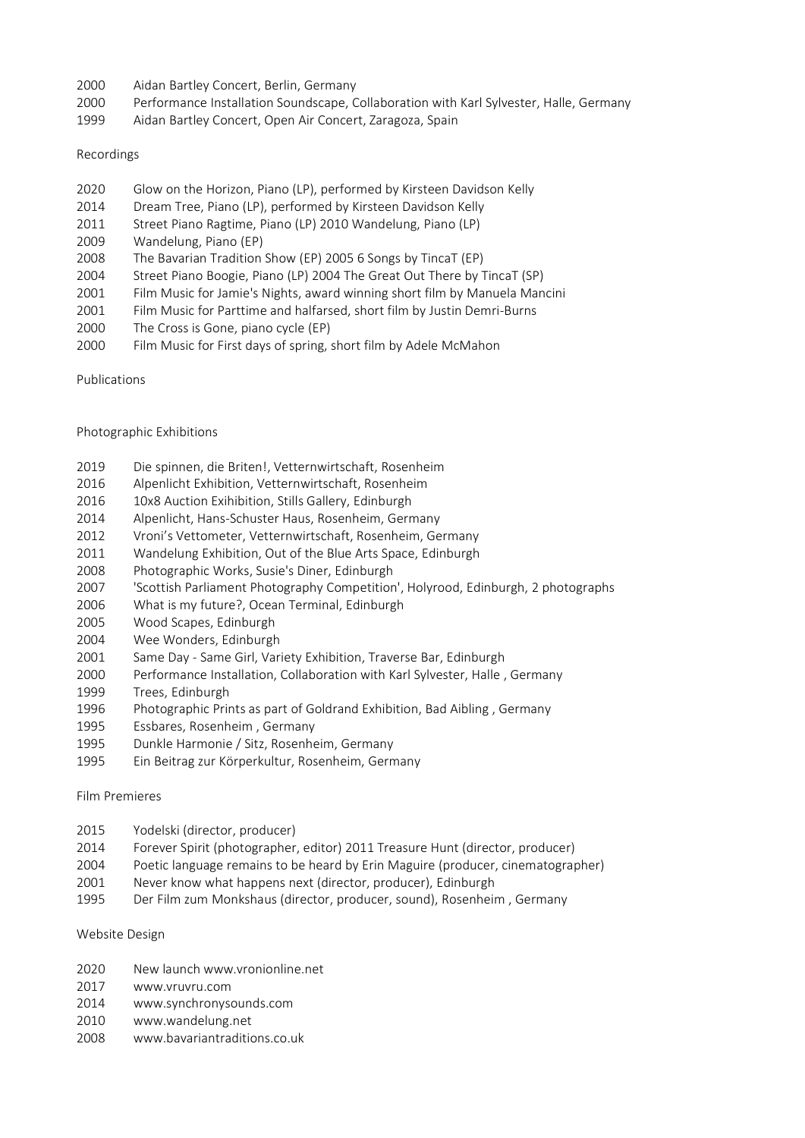- 
- 2000 Aidan Bartley Concert, Berlin, Germany<br>2000 Performance Installation Soundscape, Collaboration with Karl Sylvester, Halle, Germany<br>2009 Aidan Bartley Concert, Open Air Concert, Zaragoza, Spain<br>2008 Alexander Simple St 2000 Aidan Bartley Concert, Berlin, Germany<br>2000 Performance Installation Soundscape, Collaboration with Karl Sylvester, Halle, Germany<br>2020 Aidan Bartley Concert, Open Air Concert, Zaragoza, Spain<br>2020 Glow on the Horizon 1999 Aidan Bartley Concert, Open Air Concert, Zaragoza, Spain Adan Bartley Concert, Berlin, Germany<br>
2000 Performance Installation Soundscape, Collaboration with Karl Sylvester, Halle, Germany<br>
2020 Glow on the Horizon, Piano (LP), performed by Kirsteen Davidson Kelly<br>
2020 Glow on t Aidan Bartley Concert, Berlin, Germany<br>
2000 Performance Installation Soundscape, Collaboration with Karl Sylvester, Halle, Germany<br>
2020 Aidan Bartley Concert, Open Air Concert, Zaragoza, Spain<br>
2020 Glow on the Horizon, Aidan Bartley Concert, Berlin, Germany<br>
2000 Performance Installation Soundscape, Collaboration with Karl Sylvester, Halle, Germany<br>
2020 Ricordings<br>
2020 Glow on the Horizon, Piano (LP), performed by Kirsteen Davidson Kel Aidan Bartley Concert, Berlin, Germany<br>
2000 Performance Installation Soundscape, Collaboration with Karl Sylvester, Halle, Germany<br>
2020 Performance Installation Soundscape, Collaboration with Karl Sylvester, Halle, Germa Aidan Bartley Concert, Berlin, Germany<br>
2000 Performance Installation Soundscape, Collaboration with Karl Sylvester, Halle, Germany<br>
2020 Brow on the Horizon, Piano (LP), performed by Kirsteen Davidson Kelly<br>
2022 Glow on Aidan Bartley Concert, Berlin, Germany<br>
2000 Performance Installation Soundscape, Collaboration with Karl Sylvester, Halle, Germany<br>
2020 Glow on the Horizon, Piano (LP), performed by Kirsteen Davidson Kelly<br>
2014 Book on 2000 Aidan Bartley Concert, Berlin, Germany<br>2000 Performance Installation Soundscape, Collaboration with Karl Sylvester, Halle, Germany<br>2020 Clow on the Horizon, Piano (LP), performed by Kirsteen Davidson Kelly<br>2014 Dream 2000 Aidan Bartley Concert, Berlin, Germany<br>
2000 Performance Installation Soundscape, Collaboration with Karl Sylvester, Halle, Germany<br>
2020 Glow on the Horizon, Piano (IP), performed by Kirsteen Davidson Kelly<br>
2021 Glo Adan Bartley Concert, Berlin, Germany<br>
2000 Performance Installation Soundscape, Collaboration with Karl Sylvester, Halle, Germany<br>
2010 Performance Installation Soundscape, Collaboration with Karl Sylvester, Halle, German 2000 Aidan Bartley Concert, Berlin, Germany<br>
2000 Performance Installation Soundscape, Collaboration with Karl Sylvester, Halle, Germany<br>
2019 Aidan Bartley Concert, Open Air Concert, Zaragoza, Spain<br>
2010 Glow on the Hori 2000 Performance Installation Soundscape, Collaboration with Karl Sylvester, Halle, Ger<br>
2029 Aidan Bartley Concert, Open Air Concert, Zaragoza, Spain<br>
Recordings<br>
2020 Glow on the Horizon, Piano (LP), performed by Kirstee
- 

## Recordings

- 
- 
- 
- 
- 
- 
- Recordings<br>
2020 Glow on the Horizon, Piano (LP), performed by Kirsteen Davidson Kelly<br>
2014 Dream Tree, Piano (P), performed by Kirsteen Davidson Kelly<br>
2011 Street Piano Ragtime, Piano (LP) 2010 Wandelung, Piano (LP)<br>
20 Recordings<br>
2020 Glow on the Horizon, Piano (LP), performed by Kirsteen Davidson Kelly<br>
2011 Street Flano Ragtime, Plano (LP) XO10 Wandelung, Plano (LP)<br>
2011 Street Flano Ragtime, Plano (LP) 20016 Wisteen Davidson Kelly<br>
- 
- 
- 
- Publications

- 
- 
- 
- 
- 
- 
- 
- 2020 Glow on the Horizon, Piano (LP), performed by Kirsteen Davidson Kelly<br>2014 Dream Tree, Piano (LP), performed by Kirsteen Davidson Kelly<br>2011 Strete Piano Ragtime, Piano (LP) 2010 Wandelung, Piano (LP)<br>2009 Wandelung, 2020 Glow on the Horizon, Plano (LP), performed by Kirsteen Davidson Kelly<br>2014 Street Fiano (LP), performed by Kirsteen Davidson Kelly<br>2011 Street Fiano Ragtime, Plano (LP) 2010 Wandelung, Plano (LP)<br>2009 Wandelung, Plano 2014 Dream Tree, Piano (IP), performed by Kirsteen Davidson Kelly<br>2019 Wandelung, Piano (EP)<br>2019 Wandelung, Piano (EP)<br>2008 The Bavarian Tradition Show (IF) 2005 6 Songs by TimeraT (EP)<br>2008 The Bavarian Tradition Show (I 2011 Street Piano Ragtime, Piano (LP) 2010 Wandelung, Piano (LP)<br>2008 Wandelung, Piano (EP)<br>2008 The Bavarian Tradition Show (EP) 2005 6 Songs by TincaT (EP)<br>2004 Street Piano Boogle, Piano (LP) 2004 The Great Out There by 2009 Wandelung, Piano (FP)<br>
2004 The Bavarian Tradition Show (FP) 2005 6 Songs by TincaT (FP)<br>
2004 Street Piano Boogie, Piano (LP) 2004 The Great Out There by TincaT (SP)<br>
2001 Film Music for Partitine and hallarsed, shor 2008 The Bavarian Tradition Show (EP) 2005 6 Songs by TincaT (SP)<br>2001 Street Piano Boogie, Piano (IP) 2004 The Great Out There by TincaT (SP)<br>2001 Film Music for Jamile's Nights, award winning short film by Manuela Mancin 2004 Street Piano Boogle, Plano (LP) 2004 The Great Out There by TimcaT (SP)<br>2001 Film Music for Damie's Nights, avand winning short film by Mastuela Manchia<br>2001 Film Music for Partitine and halfarsed, short film by Justi 2001 Film Music for Jamie's Nights, award winning short film by Manuela Mancini<br>
2000 Time Music for Partitime and halfarsed, short film by Justin Demri-Burns<br>
2000 The Cross is Gone, piano cycle (EP)<br>
2000 Film Music for 2001 Film Music for Parttime and halfarsed, short film by Justin Demri-Burns<br>2000 Tilm Music for First days of spring, short film by Adele McMahon<br>2000 Tilm Music for First days of spring, short film by Adele McMahon<br>Publi 2000 The Cross is Gone, piano cycle (EP)<br>
2000 Film Music for First days of spring, short film by Adele McMahon<br>
Publications<br>
Publications<br>
Die spinnen, die Britenl, Vettermwirtschaft, Rosenheim<br>
2016 Day Autoin Exhibitio 2000 Film Music for First days of spring, short film by Adele McMahon<br>
Publications<br>
Photographic Exhibitions<br>
2019 Die spinnen, die Britenl, Vettermwirtschaft, Rosenheim<br>
2016 Algerlicht Exhibition, Sylteter, Halle Collab Publications<br>
Photographic Exhibitions<br>
2019 Die spinnen, die Briten!, Vetternwirtschaft, Rosenheim<br>
2016 Alpenlicht Exhibition, Stills Gallery, Edinburgh<br>
2016 Disc Auction Exihibition, Stills Gallery, Edinburgh<br>
2014 Alp Publications<br>
2019 Photographic Exhibitions<br>
2016 Alepenical Exhibitions, Vettermwirtschaft, Rosenheim<br>
2016 Alepenical Exhibitions, Vettermwirtschaft, Rosenheim<br>
2012 Aibling Exhibitions, Collis Callery, Edimburgh<br>
2012 V Photographic Exhibitions<br>
2019 Die spinnen, die Briten!, Vetternwirtschaft, Rosenheim<br>
2016 Alpenlicht Exhibition, Vetternwirtschaft, Rosenheim<br>
2016 Alpenlicht Exhibition, Stills Gallery, Edinburgh<br>
2014 Alpenlicht, Hans-Photographic Exhibitions<br>
2019 Die spinnen, die Britenl, Vetternwirtschaft, Rosenheim<br>
2016 Alpenlicht Exhibition, Vetternwirtschaft, Rosenheim<br>
2016 IOS Auction Exhibition, Stills Callery, Edimburgh<br>
2018 IOS Auction Exhi Photographic Exhibitions<br>
2019 Die spinnen, die Britenl, Vettermwittschaft, Rosenheim<br>
2016 Alpenlich Lichtibition, Vettermwittschaft, Rosenheim<br>
2016 10x8 Auction Exihibition, Stills Gallery, Edinburgh<br>
2014 Alpenlich I, 2019 Die spinnen, die Briten!, Vetternwirtschaft, Rosenheim<br>2016 Apenlicht Exhibition, Vettermwirtschaft, Rosenheim<br>2016 Disk Auction Exilibition, Stills Gallery, Edinburgh<br>2014 Alpenlicht, Hans-Schuster Haus, Rosenheim, G 2016 10x8 Auction Exitibition, Stills Gallery, Édinburgh<br>
2014 Alpenlicht, Hans-Schutter Haus, Rosenheim, Germany<br>
2012 Vroni's Vettometer, Vetternwirtschaft, Rosenheim, Germany<br>
2012 Vroni's Vettometer, Vetternwirtschaft, 2014 Alpenlicht, Hans-Schuster Haus, Rosenheim, Germany<br>2012 Vronif Sylettometer, Vettermwitschaft, Rosenheim, Germany<br>2011 Wandelung Exhibition, Out of the Blue Arts Space, Edinburgh<br>2003 Photographic Works, Susie's Diine 2012 Vroni's Vettometer, Vetternwirtschaft, Rosenheim, Germany<br>2012 Wandelung Exhibition, Out of the Blue Arts Space, Edinburgh<br>2008 Photographic Works, Susie's Dines, Edinburgh<br>2006 Yorks is migrantic Photography Competit 2011 Wandelung Exhibition, Out of the Blue Arts Space, Edinburgh<br>2002 Photographic Works, Susie's Diner, Edinburgh<br>
2007 'Scottish Pariliament Photography Competition', Holyrood, Edinburgh, 2 photographs<br>
2005 What is my f 2008 Photographic Works, Susie's Diner, Edinburgh<br>
2006 Yostuth Parliament Photography Competition', Holyrood, Edinburgh, 2 photographs<br>
2006 What is iny future?, Ocean Terminal, Edinburgh<br>
2009 Woed Scapes, Edinburgh<br>
200
- 
- 
- 
- 
- 
- 
- 
- 
- 
- 

- 
- What is my future?, Ocean Terminal, Edinburgh<br>
2006 Wood Scapes, Edinburgh<br>
2004 Wee Woodscapes, Edinburgh<br>
2001 Same Day Same Girl, Variety Exhibition, Traverse Bar, Edinburgh<br>
2001 Same Day Same Girl, Variety Exhibit 2001 Same Day - Same Girl, Variety Exhibition, Traverse Bar, Edinburgh<br>
2000 Performance Installation, Collaboration with Karl Sylvester, Halle , Germany<br>
2020 Perse, Edinburgh<br>
2019 Trees, Edinburgh<br>
2019 Perses, Rosenhei Trees, Edinburgh<br>
1999 Photographic Prints as part of Goldrand Exhibition, Bad Aibling , Germany<br>
1995 Essbares, Rosenheim , Germany<br>
1995 Bushes Homenie / Sitz, Rosenheim, Germany<br>
1995 Bushes Harmonie / Sitz, Rosenheim, Photographic Prints as part of Goldrand Exhibition, Bad Aibling , Germany<br>1995 Eisbares, Rosenheim , Germany<br>1995 Dunkle Harmonie / Sitz, Rosenheim, Germany<br>1995 Ein Beitrag zur Körperkultur, Rosenheim, Germany<br>1995 Ein Be
- 2004 Wee Wonders, Edinburgh<br>
2000 Same Day Same Girl, Variety Exhibition, Traverse Bar, Edinburgh<br>
2000 Performance Installation, Collaboration with Karl Sylvester, Halle , Germany<br>
2020 Performance Installation, Collabo 2000 Performance Installation, Collaboration with Karl Sylvester, Halle , Germany<br>
1996 Press, Edinburgh<br>
1996 Photographic Prints as part of Goldrand Exhibition, Bad Aibling , Germany<br>
1995 Essbares, Rosenheim, Germany<br>
1
- 
- 

- 
- 
- 
- 
-